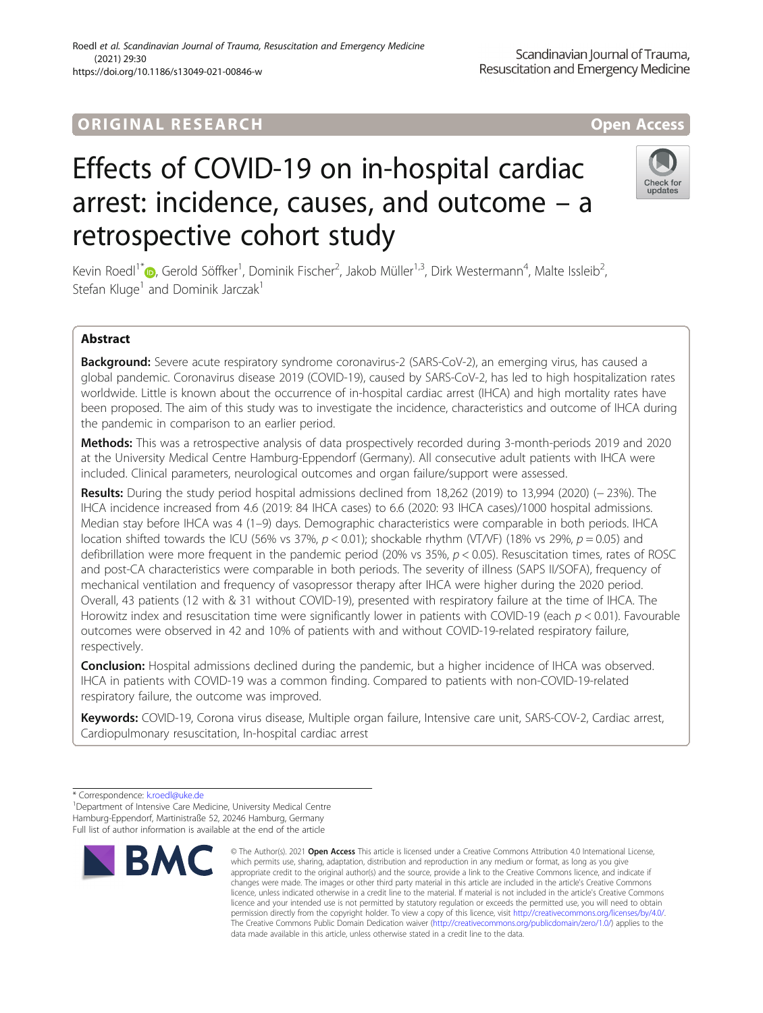# Roedl et al. Scandinavian Journal of Trauma, Resuscitation and Emergency Medicine (2021) 29:30

https://doi.org/10.1186/s13049-021-00846-w

# Effects of COVID-19 on in-hospital cardiac arrest: incidence, causes, and outcome – a retrospective cohort study

Kevin Roedl<sup>1\*</sup> (D[,](http://orcid.org/0000-0002-0721-9027) Gerold Söffker<sup>1</sup>, Dominik Fischer<sup>2</sup>, Jakob Müller<sup>1,3</sup>, Dirk Westermann<sup>4</sup>, Malte Issleib<sup>2</sup> , Stefan Kluge<sup>1</sup> and Dominik Jarczak<sup>1</sup>

## Abstract

Background: Severe acute respiratory syndrome coronavirus-2 (SARS-CoV-2), an emerging virus, has caused a global pandemic. Coronavirus disease 2019 (COVID-19), caused by SARS-CoV-2, has led to high hospitalization rates worldwide. Little is known about the occurrence of in-hospital cardiac arrest (IHCA) and high mortality rates have been proposed. The aim of this study was to investigate the incidence, characteristics and outcome of IHCA during the pandemic in comparison to an earlier period.

Methods: This was a retrospective analysis of data prospectively recorded during 3-month-periods 2019 and 2020 at the University Medical Centre Hamburg-Eppendorf (Germany). All consecutive adult patients with IHCA were included. Clinical parameters, neurological outcomes and organ failure/support were assessed.

Results: During the study period hospital admissions declined from 18,262 (2019) to 13,994 (2020) (− 23%). The IHCA incidence increased from 4.6 (2019: 84 IHCA cases) to 6.6 (2020: 93 IHCA cases)/1000 hospital admissions. Median stay before IHCA was 4 (1–9) days. Demographic characteristics were comparable in both periods. IHCA location shifted towards the ICU (56% vs 37%,  $p < 0.01$ ); shockable rhythm (VT/VF) (18% vs 29%,  $p = 0.05$ ) and defibrillation were more frequent in the pandemic period (20% vs 35%,  $p < 0.05$ ). Resuscitation times, rates of ROSC and post-CA characteristics were comparable in both periods. The severity of illness (SAPS II/SOFA), frequency of mechanical ventilation and frequency of vasopressor therapy after IHCA were higher during the 2020 period. Overall, 43 patients (12 with & 31 without COVID-19), presented with respiratory failure at the time of IHCA. The Horowitz index and resuscitation time were significantly lower in patients with COVID-19 (each  $p < 0.01$ ). Favourable outcomes were observed in 42 and 10% of patients with and without COVID-19-related respiratory failure, respectively.

Conclusion: Hospital admissions declined during the pandemic, but a higher incidence of IHCA was observed. IHCA in patients with COVID-19 was a common finding. Compared to patients with non-COVID-19-related respiratory failure, the outcome was improved.

Keywords: COVID-19, Corona virus disease, Multiple organ failure, Intensive care unit, SARS-COV-2, Cardiac arrest, Cardiopulmonary resuscitation, In-hospital cardiac arrest

\* Correspondence: [k.roedl@uke.de](mailto:k.roedl@uke.de) <sup>1</sup>

<sup>1</sup> Department of Intensive Care Medicine, University Medical Centre Hamburg-Eppendorf, Martinistraße 52, 20246 Hamburg, Germany Full list of author information is available at the end of the article







<sup>©</sup> The Author(s), 2021 **Open Access** This article is licensed under a Creative Commons Attribution 4.0 International License, which permits use, sharing, adaptation, distribution and reproduction in any medium or format, as long as you give appropriate credit to the original author(s) and the source, provide a link to the Creative Commons licence, and indicate if changes were made. The images or other third party material in this article are included in the article's Creative Commons licence, unless indicated otherwise in a credit line to the material. If material is not included in the article's Creative Commons licence and your intended use is not permitted by statutory regulation or exceeds the permitted use, you will need to obtain permission directly from the copyright holder. To view a copy of this licence, visit [http://creativecommons.org/licenses/by/4.0/.](http://creativecommons.org/licenses/by/4.0/) The Creative Commons Public Domain Dedication waiver [\(http://creativecommons.org/publicdomain/zero/1.0/](http://creativecommons.org/publicdomain/zero/1.0/)) applies to the data made available in this article, unless otherwise stated in a credit line to the data.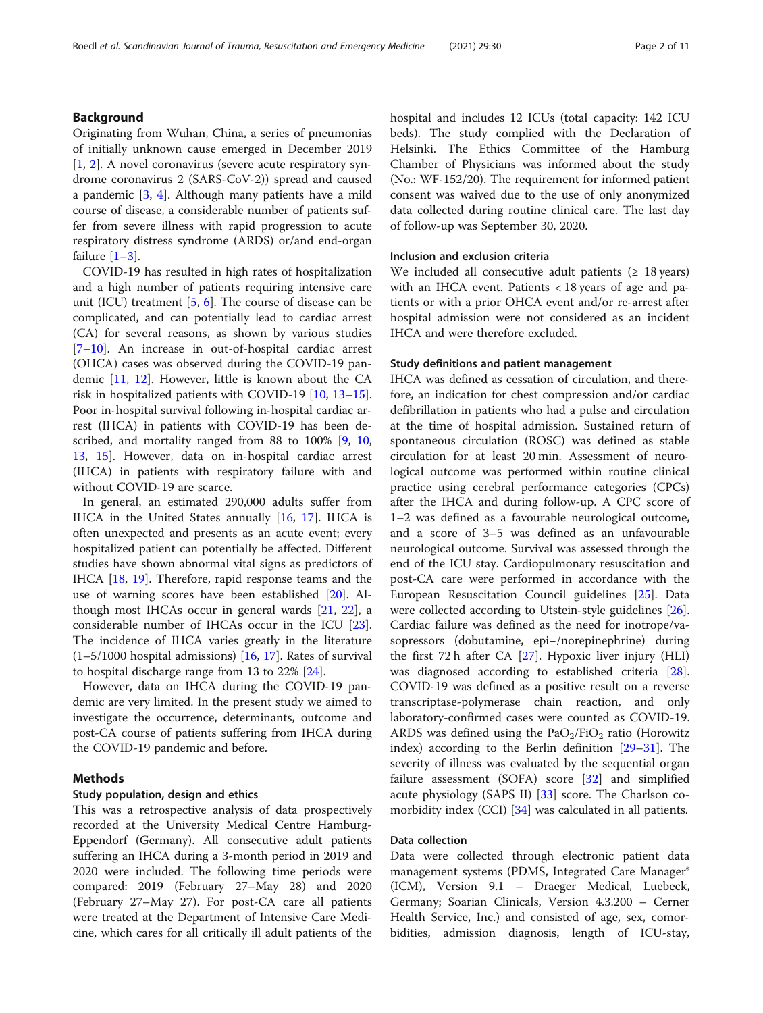## Background

Originating from Wuhan, China, a series of pneumonias of initially unknown cause emerged in December 2019 [[1,](#page-9-0) [2](#page-9-0)]. A novel coronavirus (severe acute respiratory syndrome coronavirus 2 (SARS-CoV-2)) spread and caused a pandemic  $[3, 4]$  $[3, 4]$  $[3, 4]$  $[3, 4]$ . Although many patients have a mild course of disease, a considerable number of patients suffer from severe illness with rapid progression to acute respiratory distress syndrome (ARDS) or/and end-organ failure [[1](#page-9-0)–[3](#page-9-0)].

COVID-19 has resulted in high rates of hospitalization and a high number of patients requiring intensive care unit (ICU) treatment [[5,](#page-9-0) [6\]](#page-9-0). The course of disease can be complicated, and can potentially lead to cardiac arrest (CA) for several reasons, as shown by various studies [[7](#page-9-0)–[10\]](#page-9-0). An increase in out-of-hospital cardiac arrest (OHCA) cases was observed during the COVID-19 pandemic [[11,](#page-9-0) [12\]](#page-9-0). However, little is known about the CA risk in hospitalized patients with COVID-19 [[10](#page-9-0), [13](#page-9-0)–[15](#page-9-0)]. Poor in-hospital survival following in-hospital cardiac arrest (IHCA) in patients with COVID-19 has been de-scribed, and mortality ranged from 88 to 100% [\[9,](#page-9-0) [10](#page-9-0), [13,](#page-9-0) [15\]](#page-9-0). However, data on in-hospital cardiac arrest (IHCA) in patients with respiratory failure with and without COVID-19 are scarce.

In general, an estimated 290,000 adults suffer from IHCA in the United States annually [[16,](#page-9-0) [17](#page-9-0)]. IHCA is often unexpected and presents as an acute event; every hospitalized patient can potentially be affected. Different studies have shown abnormal vital signs as predictors of IHCA [[18,](#page-9-0) [19](#page-9-0)]. Therefore, rapid response teams and the use of warning scores have been established [\[20](#page-9-0)]. Although most IHCAs occur in general wards [[21,](#page-9-0) [22\]](#page-9-0), a considerable number of IHCAs occur in the ICU [\[23](#page-10-0)]. The incidence of IHCA varies greatly in the literature (1–5/1000 hospital admissions) [[16,](#page-9-0) [17](#page-9-0)]. Rates of survival to hospital discharge range from 13 to 22% [\[24](#page-10-0)].

However, data on IHCA during the COVID-19 pandemic are very limited. In the present study we aimed to investigate the occurrence, determinants, outcome and post-CA course of patients suffering from IHCA during the COVID-19 pandemic and before.

### Methods

### Study population, design and ethics

This was a retrospective analysis of data prospectively recorded at the University Medical Centre Hamburg-Eppendorf (Germany). All consecutive adult patients suffering an IHCA during a 3-month period in 2019 and 2020 were included. The following time periods were compared: 2019 (February 27–May 28) and 2020 (February 27–May 27). For post-CA care all patients were treated at the Department of Intensive Care Medicine, which cares for all critically ill adult patients of the hospital and includes 12 ICUs (total capacity: 142 ICU beds). The study complied with the Declaration of Helsinki. The Ethics Committee of the Hamburg Chamber of Physicians was informed about the study (No.: WF-152/20). The requirement for informed patient consent was waived due to the use of only anonymized data collected during routine clinical care. The last day of follow-up was September 30, 2020.

## Inclusion and exclusion criteria

We included all consecutive adult patients  $(≥ 18 years)$ with an IHCA event. Patients < 18 years of age and patients or with a prior OHCA event and/or re-arrest after hospital admission were not considered as an incident IHCA and were therefore excluded.

## Study definitions and patient management

IHCA was defined as cessation of circulation, and therefore, an indication for chest compression and/or cardiac defibrillation in patients who had a pulse and circulation at the time of hospital admission. Sustained return of spontaneous circulation (ROSC) was defined as stable circulation for at least 20 min. Assessment of neurological outcome was performed within routine clinical practice using cerebral performance categories (CPCs) after the IHCA and during follow-up. A CPC score of 1–2 was defined as a favourable neurological outcome, and a score of 3–5 was defined as an unfavourable neurological outcome. Survival was assessed through the end of the ICU stay. Cardiopulmonary resuscitation and post-CA care were performed in accordance with the European Resuscitation Council guidelines [\[25](#page-10-0)]. Data were collected according to Utstein-style guidelines [\[26](#page-10-0)]. Cardiac failure was defined as the need for inotrope/vasopressors (dobutamine, epi−/norepinephrine) during the first 72 h after CA [[27\]](#page-10-0). Hypoxic liver injury (HLI) was diagnosed according to established criteria [\[28](#page-10-0)]. COVID-19 was defined as a positive result on a reverse transcriptase-polymerase chain reaction, and only laboratory-confirmed cases were counted as COVID-19. ARDS was defined using the  $PaO<sub>2</sub>/FiO<sub>2</sub>$  ratio (Horowitz index) according to the Berlin definition [[29](#page-10-0)–[31](#page-10-0)]. The severity of illness was evaluated by the sequential organ failure assessment (SOFA) score [[32](#page-10-0)] and simplified acute physiology (SAPS II) [[33\]](#page-10-0) score. The Charlson comorbidity index (CCI) [[34\]](#page-10-0) was calculated in all patients.

### Data collection

Data were collected through electronic patient data management systems (PDMS, Integrated Care Manager® (ICM), Version 9.1 – Draeger Medical, Luebeck, Germany; Soarian Clinicals, Version 4.3.200 – Cerner Health Service, Inc.) and consisted of age, sex, comorbidities, admission diagnosis, length of ICU-stay,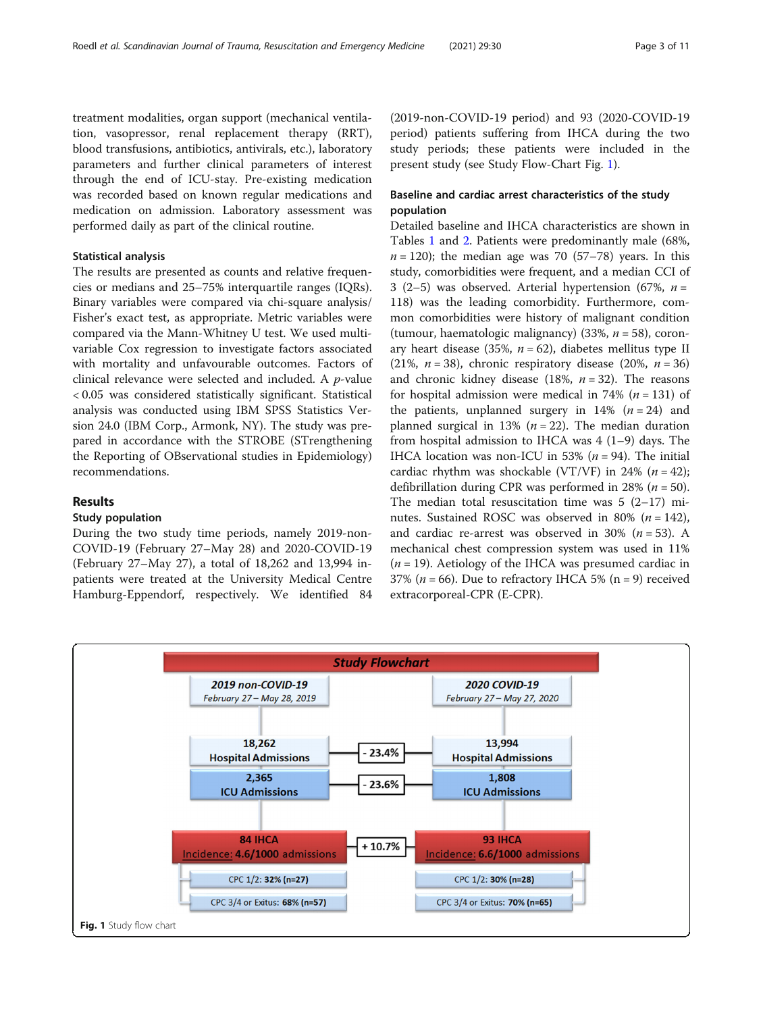treatment modalities, organ support (mechanical ventilation, vasopressor, renal replacement therapy (RRT), blood transfusions, antibiotics, antivirals, etc.), laboratory parameters and further clinical parameters of interest through the end of ICU-stay. Pre-existing medication was recorded based on known regular medications and medication on admission. Laboratory assessment was performed daily as part of the clinical routine.

## Statistical analysis

The results are presented as counts and relative frequencies or medians and 25–75% interquartile ranges (IQRs). Binary variables were compared via chi-square analysis/ Fisher's exact test, as appropriate. Metric variables were compared via the Mann-Whitney U test. We used multivariable Cox regression to investigate factors associated with mortality and unfavourable outcomes. Factors of clinical relevance were selected and included. A p-value < 0.05 was considered statistically significant. Statistical analysis was conducted using IBM SPSS Statistics Version 24.0 (IBM Corp., Armonk, NY). The study was prepared in accordance with the STROBE (STrengthening the Reporting of OBservational studies in Epidemiology) recommendations.

## Results

#### Study population

During the two study time periods, namely 2019-non-COVID-19 (February 27–May 28) and 2020-COVID-19 (February 27–May 27), a total of 18,262 and 13,994 inpatients were treated at the University Medical Centre Hamburg-Eppendorf, respectively. We identified 84

(2019-non-COVID-19 period) and 93 (2020-COVID-19 period) patients suffering from IHCA during the two study periods; these patients were included in the present study (see Study Flow-Chart Fig. 1).

## Baseline and cardiac arrest characteristics of the study population

Detailed baseline and IHCA characteristics are shown in Tables [1](#page-3-0) and [2.](#page-4-0) Patients were predominantly male (68%,  $n = 120$ ; the median age was 70 (57–78) years. In this study, comorbidities were frequent, and a median CCI of 3 (2–5) was observed. Arterial hypertension (67%,  $n =$ 118) was the leading comorbidity. Furthermore, common comorbidities were history of malignant condition (tumour, haematologic malignancy) (33%,  $n = 58$ ), coronary heart disease (35%,  $n = 62$ ), diabetes mellitus type II (21%,  $n = 38$ ), chronic respiratory disease (20%,  $n = 36$ ) and chronic kidney disease (18%,  $n = 32$ ). The reasons for hospital admission were medical in 74% ( $n = 131$ ) of the patients, unplanned surgery in 14%  $(n = 24)$  and planned surgical in 13% ( $n = 22$ ). The median duration from hospital admission to IHCA was  $4(1-9)$  days. The IHCA location was non-ICU in 53% ( $n = 94$ ). The initial cardiac rhythm was shockable (VT/VF) in 24% ( $n = 42$ ); defibrillation during CPR was performed in 28% ( $n = 50$ ). The median total resuscitation time was  $5(2-17)$  minutes. Sustained ROSC was observed in 80% ( $n = 142$ ), and cardiac re-arrest was observed in 30% ( $n = 53$ ). A mechanical chest compression system was used in 11%  $(n = 19)$ . Aetiology of the IHCA was presumed cardiac in 37% ( $n = 66$ ). Due to refractory IHCA 5% ( $n = 9$ ) received extracorporeal-CPR (E-CPR).

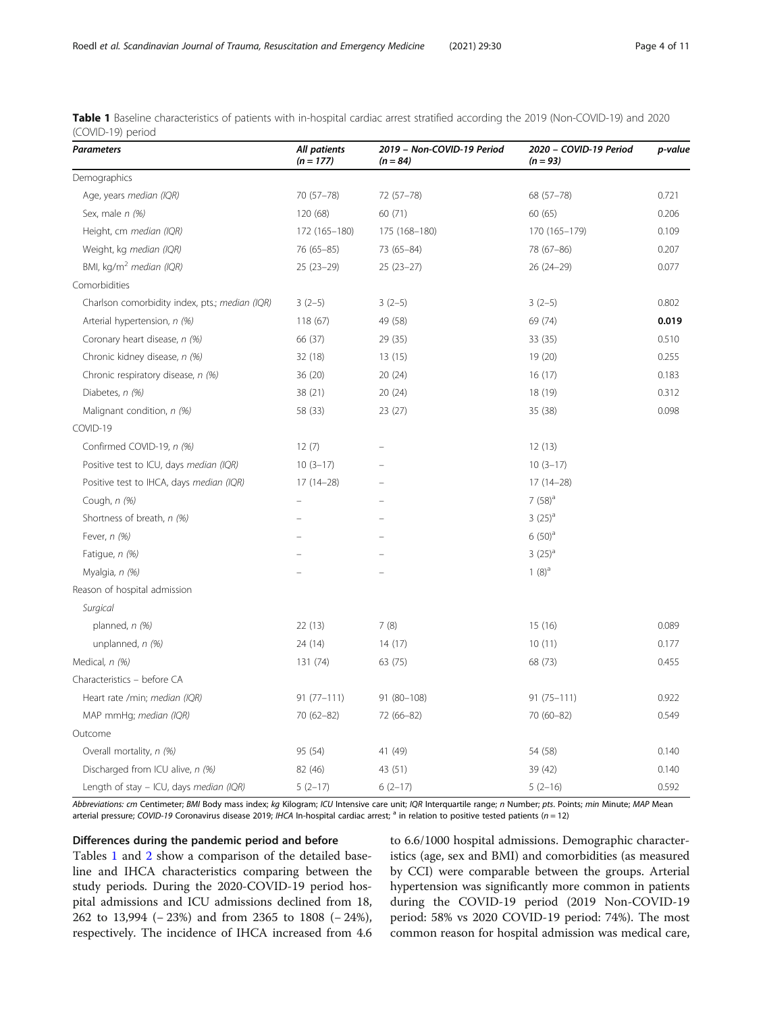| <b>Parameters</b>                              | <b>All patients</b><br>$(n = 177)$ | 2019 - Non-COVID-19 Period<br>$(n = 84)$ | 2020 - COVID-19 Period<br>$(n = 93)$ | p-value |
|------------------------------------------------|------------------------------------|------------------------------------------|--------------------------------------|---------|
| Demographics                                   |                                    |                                          |                                      |         |
| Age, years median (IQR)                        | 70 (57-78)                         | 72 (57-78)                               | 68 (57-78)                           | 0.721   |
| Sex, male n (%)                                | 120 (68)                           | 60 (71)                                  | 60 (65)                              | 0.206   |
| Height, cm median (IQR)                        | 172 (165-180)                      | 175 (168-180)                            | 170 (165-179)                        | 0.109   |
| Weight, kg median (IQR)                        | 76 (65-85)                         | 73 (65-84)                               | 78 (67-86)                           | 0.207   |
| BMI, kg/m <sup>2</sup> median (IQR)            | $25(23-29)$                        | $25(23-27)$                              | $26(24-29)$                          | 0.077   |
| Comorbidities                                  |                                    |                                          |                                      |         |
| Charlson comorbidity index, pts.; median (IQR) | $3(2-5)$                           | $3(2-5)$                                 | $3(2-5)$                             | 0.802   |
| Arterial hypertension, n (%)                   | 118 (67)                           | 49 (58)                                  | 69 (74)                              | 0.019   |
| Coronary heart disease, n (%)                  | 66 (37)                            | 29 (35)                                  | 33(35)                               | 0.510   |
| Chronic kidney disease, n (%)                  | 32 (18)                            | 13 (15)                                  | 19 (20)                              | 0.255   |
| Chronic respiratory disease, n (%)             | 36 (20)                            | 20(24)                                   | 16(17)                               | 0.183   |
| Diabetes, n (%)                                | 38 (21)                            | 20(24)                                   | 18 (19)                              | 0.312   |
| Malignant condition, n (%)                     | 58 (33)                            | 23(27)                                   | 35 (38)                              | 0.098   |
| COVID-19                                       |                                    |                                          |                                      |         |
| Confirmed COVID-19, n (%)                      | 12(7)                              |                                          | 12(13)                               |         |
| Positive test to ICU, days median (IQR)        | $10(3-17)$                         |                                          | $10(3-17)$                           |         |
| Positive test to IHCA, days median (IQR)       | $17(14-28)$                        |                                          | $17(14-28)$                          |         |
| Cough, n (%)                                   |                                    |                                          | $7(58)^a$                            |         |
| Shortness of breath, n (%)                     |                                    |                                          | $3(25)^{a}$                          |         |
| Fever, $n$ (%)                                 |                                    |                                          | $6(50)^{a}$                          |         |
| Fatique, n (%)                                 |                                    |                                          | $3(25)^{a}$                          |         |
| Myalgia, n (%)                                 |                                    |                                          | $1(8)^a$                             |         |
| Reason of hospital admission                   |                                    |                                          |                                      |         |
| Surgical                                       |                                    |                                          |                                      |         |
| planned, $n$ (%)                               | 22(13)                             | 7(8)                                     | 15(16)                               | 0.089   |
| unplanned, n (%)                               | 24 (14)                            | 14(17)                                   | 10(11)                               | 0.177   |
| Medical, n (%)                                 | 131 (74)                           | 63 (75)                                  | 68 (73)                              | 0.455   |
| Characteristics - before CA                    |                                    |                                          |                                      |         |
| Heart rate /min; median (IQR)                  | $91(77 - 111)$                     | 91 (80-108)                              | $91(75 - 111)$                       | 0.922   |
| MAP mmHg; median (IQR)                         | 70 (62-82)                         | 72 (66-82)                               | 70 (60-82)                           | 0.549   |
| Outcome                                        |                                    |                                          |                                      |         |
| Overall mortality, n (%)                       | 95 (54)                            | 41 (49)                                  | 54 (58)                              | 0.140   |
| Discharged from ICU alive, n (%)               | 82 (46)                            | 43 (51)                                  | 39 (42)                              | 0.140   |
| Length of stay - ICU, days median (IQR)        | $5(2-17)$                          | $6(2-17)$                                | $5(2-16)$                            | 0.592   |

<span id="page-3-0"></span>Table 1 Baseline characteristics of patients with in-hospital cardiac arrest stratified according the 2019 (Non-COVID-19) and 2020 (COVID-19) period

Abbreviations: cm Centimeter; BMI Body mass index; kg Kilogram; ICU Intensive care unit; IQR Interquartile range; n Number; pts. Points; min Minute; MAP Mean arterial pressure; COVID-19 Coronavirus disease 2019; IHCA In-hospital cardiac arrest; <sup>a</sup> in relation to positive tested patients ( $n = 12$ )

Differences during the pandemic period and before

Tables 1 and [2](#page-4-0) show a comparison of the detailed baseline and IHCA characteristics comparing between the study periods. During the 2020-COVID-19 period hospital admissions and ICU admissions declined from 18, 262 to 13,994 (− 23%) and from 2365 to 1808 (− 24%), respectively. The incidence of IHCA increased from 4.6 to 6.6/1000 hospital admissions. Demographic characteristics (age, sex and BMI) and comorbidities (as measured by CCI) were comparable between the groups. Arterial hypertension was significantly more common in patients during the COVID-19 period (2019 Non-COVID-19 period: 58% vs 2020 COVID-19 period: 74%). The most common reason for hospital admission was medical care,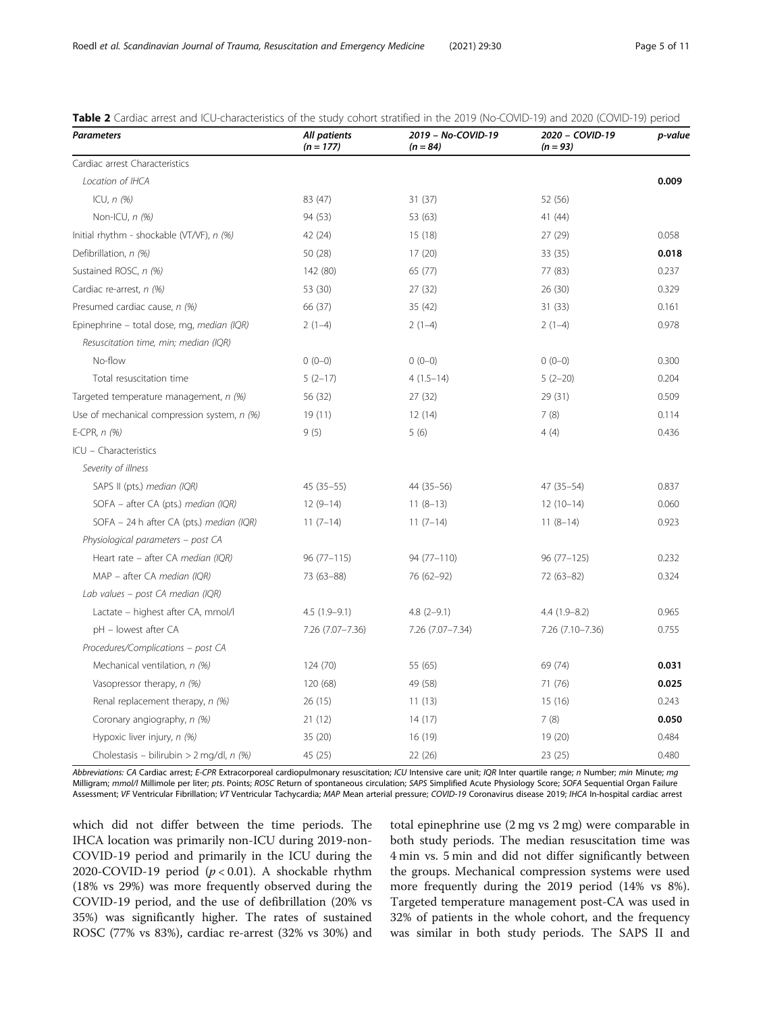| <b>Parameters</b>                           | All patients<br>$(n = 177)$ | 2019 - No-COVID-19<br>$(n = 84)$ | 2020 - COVID-19<br>$(n = 93)$ | p-value |
|---------------------------------------------|-----------------------------|----------------------------------|-------------------------------|---------|
| Cardiac arrest Characteristics              |                             |                                  |                               |         |
| Location of IHCA                            |                             |                                  |                               | 0.009   |
| ICU, $n$ $(%)$                              | 83 (47)                     | 31(37)                           | 52 (56)                       |         |
| Non-ICU, $n$ (%)                            | 94 (53)                     | 53 (63)                          | 41 (44)                       |         |
| Initial rhythm - shockable (VT/VF), n (%)   | 42 (24)                     | 15(18)                           | 27(29)                        | 0.058   |
| Defibrillation, n (%)                       | 50 (28)                     | 17(20)                           | 33 (35)                       | 0.018   |
| Sustained ROSC, n (%)                       | 142 (80)                    | 65 (77)                          | 77 (83)                       | 0.237   |
| Cardiac re-arrest, n (%)                    | 53 (30)                     | 27 (32)                          | 26(30)                        | 0.329   |
| Presumed cardiac cause, n (%)               | 66 (37)                     | 35 (42)                          | 31(33)                        | 0.161   |
| Epinephrine - total dose, mg, median (IQR)  | $2(1-4)$                    | $2(1-4)$                         | $2(1-4)$                      | 0.978   |
| Resuscitation time, min; median (IQR)       |                             |                                  |                               |         |
| No-flow                                     | $0(0-0)$                    | $0(0-0)$                         | $0(0-0)$                      | 0.300   |
| Total resuscitation time                    | $5(2-17)$                   | $4(1.5-14)$                      | $5(2-20)$                     | 0.204   |
| Targeted temperature management, n (%)      | 56 (32)                     | 27(32)                           | 29 (31)                       | 0.509   |
| Use of mechanical compression system, n (%) | 19(11)                      | 12(14)                           | 7(8)                          | 0.114   |
| E-CPR, $n$ (%)                              | 9(5)                        | 5(6)                             | 4(4)                          | 0.436   |
| ICU - Characteristics                       |                             |                                  |                               |         |
| Severity of illness                         |                             |                                  |                               |         |
| SAPS II (pts.) median (IQR)                 | $45(35 - 55)$               | 44 (35 - 56)                     | $47(35-54)$                   | 0.837   |
| SOFA - after CA (pts.) median (IQR)         | $12(9-14)$                  | $11(8-13)$                       | $12(10-14)$                   | 0.060   |
| SOFA - 24 h after CA (pts.) median (IQR)    | $11(7-14)$                  | $11(7-14)$                       | $11(8-14)$                    | 0.923   |
| Physiological parameters - post CA          |                             |                                  |                               |         |
| Heart rate - after CA median (IQR)          | $96(77-115)$                | 94 (77-110)                      | $96(77-125)$                  | 0.232   |
| MAP - after CA median (IQR)                 | 73 (63-88)                  | 76 (62-92)                       | 72 (63-82)                    | 0.324   |
| Lab values - post CA median (IQR)           |                             |                                  |                               |         |
| Lactate - highest after CA, mmol/l          | $4.5(1.9-9.1)$              | $4.8(2-9.1)$                     | $4.4(1.9-8.2)$                | 0.965   |
| pH - lowest after CA                        | 7.26 (7.07-7.36)            | 7.26 (7.07-7.34)                 | 7.26 (7.10-7.36)              | 0.755   |
| Procedures/Complications - post CA          |                             |                                  |                               |         |
| Mechanical ventilation, n (%)               | 124 (70)                    | 55 (65)                          | 69 (74)                       | 0.031   |
| Vasopressor therapy, n (%)                  | 120 (68)                    | 49 (58)                          | 71 (76)                       | 0.025   |
| Renal replacement therapy, n (%)            | 26(15)                      | 11(13)                           | 15(16)                        | 0.243   |
| Coronary angiography, n (%)                 | 21(12)                      | 14(17)                           | 7(8)                          | 0.050   |
| Hypoxic liver injury, n (%)                 | 35 (20)                     | 16 (19)                          | 19(20)                        | 0.484   |
| Cholestasis - bilirubin > 2 mg/dl, n (%)    | 45 (25)                     | 22 (26)                          | 23 (25)                       | 0.480   |

<span id="page-4-0"></span>

| <b>Table 2</b> Cardiac arrest and ICU-characteristics of the study cohort stratified in the 2019 (No-COVID-19) and 2020 (COVID-19) perioc |  |  |
|-------------------------------------------------------------------------------------------------------------------------------------------|--|--|
|-------------------------------------------------------------------------------------------------------------------------------------------|--|--|

Abbreviations: CA Cardiac arrest; E-CPR Extracorporeal cardiopulmonary resuscitation; ICU Intensive care unit; IQR Inter quartile range; n Number; min Minute; mg Milligram; mmol/l Millimole per liter; pts. Points; ROSC Return of spontaneous circulation; SAPS Simplified Acute Physiology Score; SOFA Sequential Organ Failure Assessment; VF Ventricular Fibrillation; VT Ventricular Tachycardia; MAP Mean arterial pressure; COVID-19 Coronavirus disease 2019; IHCA In-hospital cardiac arrest

which did not differ between the time periods. The IHCA location was primarily non-ICU during 2019-non-COVID-19 period and primarily in the ICU during the 2020-COVID-19 period  $(p < 0.01)$ . A shockable rhythm (18% vs 29%) was more frequently observed during the COVID-19 period, and the use of defibrillation (20% vs 35%) was significantly higher. The rates of sustained ROSC (77% vs 83%), cardiac re-arrest (32% vs 30%) and total epinephrine use (2 mg vs 2 mg) were comparable in both study periods. The median resuscitation time was 4 min vs. 5 min and did not differ significantly between the groups. Mechanical compression systems were used more frequently during the 2019 period (14% vs 8%). Targeted temperature management post-CA was used in 32% of patients in the whole cohort, and the frequency was similar in both study periods. The SAPS II and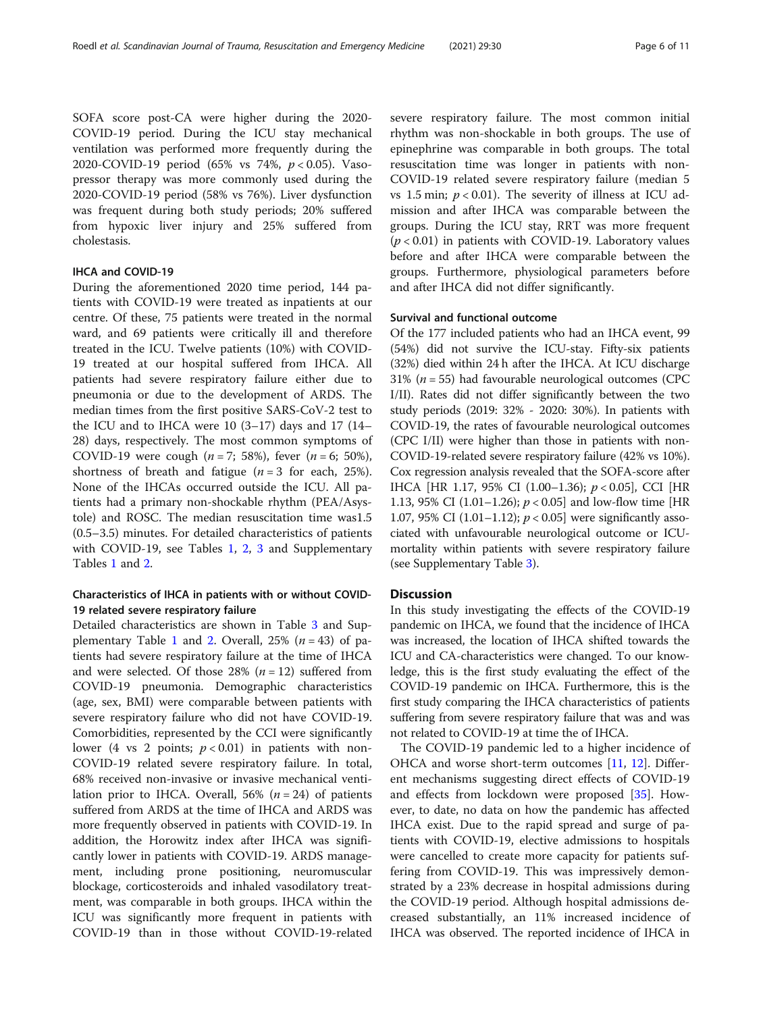SOFA score post-CA were higher during the 2020- COVID-19 period. During the ICU stay mechanical ventilation was performed more frequently during the 2020-COVID-19 period (65% vs 74%, p < 0.05). Vasopressor therapy was more commonly used during the 2020-COVID-19 period (58% vs 76%). Liver dysfunction was frequent during both study periods; 20% suffered from hypoxic liver injury and 25% suffered from cholestasis.

## IHCA and COVID-19

During the aforementioned 2020 time period, 144 patients with COVID-19 were treated as inpatients at our centre. Of these, 75 patients were treated in the normal ward, and 69 patients were critically ill and therefore treated in the ICU. Twelve patients (10%) with COVID-19 treated at our hospital suffered from IHCA. All patients had severe respiratory failure either due to pneumonia or due to the development of ARDS. The median times from the first positive SARS-CoV-2 test to the ICU and to IHCA were 10 (3–17) days and 17 (14– 28) days, respectively. The most common symptoms of COVID-19 were cough ( $n = 7$ ; 58%), fever ( $n = 6$ ; 50%), shortness of breath and fatigue ( $n = 3$  for each, 25%). None of the IHCAs occurred outside the ICU. All patients had a primary non-shockable rhythm (PEA/Asystole) and ROSC. The median resuscitation time was1.5 (0.5–3.5) minutes. For detailed characteristics of patients with COVID-19, see Tables [1,](#page-3-0) [2](#page-4-0), [3](#page-6-0) and Supplementary Tables [1](#page-9-0) and [2](#page-9-0).

## Characteristics of IHCA in patients with or without COVID-19 related severe respiratory failure

Detailed characteristics are shown in Table [3](#page-6-0) and Sup-plementary Table [1](#page-9-0) and [2.](#page-9-0) Overall,  $25\%$  ( $n = 43$ ) of patients had severe respiratory failure at the time of IHCA and were selected. Of those 28%  $(n = 12)$  suffered from COVID-19 pneumonia. Demographic characteristics (age, sex, BMI) were comparable between patients with severe respiratory failure who did not have COVID-19. Comorbidities, represented by the CCI were significantly lower (4 vs 2 points;  $p < 0.01$ ) in patients with non-COVID-19 related severe respiratory failure. In total, 68% received non-invasive or invasive mechanical ventilation prior to IHCA. Overall, 56% ( $n = 24$ ) of patients suffered from ARDS at the time of IHCA and ARDS was more frequently observed in patients with COVID-19. In addition, the Horowitz index after IHCA was significantly lower in patients with COVID-19. ARDS management, including prone positioning, neuromuscular blockage, corticosteroids and inhaled vasodilatory treatment, was comparable in both groups. IHCA within the ICU was significantly more frequent in patients with COVID-19 than in those without COVID-19-related severe respiratory failure. The most common initial rhythm was non-shockable in both groups. The use of epinephrine was comparable in both groups. The total resuscitation time was longer in patients with non-COVID-19 related severe respiratory failure (median 5 vs 1.5 min;  $p < 0.01$ ). The severity of illness at ICU admission and after IHCA was comparable between the groups. During the ICU stay, RRT was more frequent  $(p < 0.01)$  in patients with COVID-19. Laboratory values before and after IHCA were comparable between the groups. Furthermore, physiological parameters before and after IHCA did not differ significantly.

#### Survival and functional outcome

Of the 177 included patients who had an IHCA event, 99 (54%) did not survive the ICU-stay. Fifty-six patients (32%) died within 24 h after the IHCA. At ICU discharge 31% ( $n = 55$ ) had favourable neurological outcomes (CPC I/II). Rates did not differ significantly between the two study periods (2019: 32% - 2020: 30%). In patients with COVID-19, the rates of favourable neurological outcomes (CPC I/II) were higher than those in patients with non-COVID-19-related severe respiratory failure (42% vs 10%). Cox regression analysis revealed that the SOFA-score after IHCA [HR 1.17, 95% CI (1.00–1.36); p < 0.05], CCI [HR 1.13, 95% CI (1.01–1.26);  $p < 0.05$  and low-flow time [HR 1.07, 95% CI (1.01–1.12);  $p < 0.05$ ] were significantly associated with unfavourable neurological outcome or ICUmortality within patients with severe respiratory failure (see Supplementary Table [3\)](#page-9-0).

## **Discussion**

In this study investigating the effects of the COVID-19 pandemic on IHCA, we found that the incidence of IHCA was increased, the location of IHCA shifted towards the ICU and CA-characteristics were changed. To our knowledge, this is the first study evaluating the effect of the COVID-19 pandemic on IHCA. Furthermore, this is the first study comparing the IHCA characteristics of patients suffering from severe respiratory failure that was and was not related to COVID-19 at time the of IHCA.

The COVID-19 pandemic led to a higher incidence of OHCA and worse short-term outcomes [\[11,](#page-9-0) [12\]](#page-9-0). Different mechanisms suggesting direct effects of COVID-19 and effects from lockdown were proposed [\[35](#page-10-0)]. However, to date, no data on how the pandemic has affected IHCA exist. Due to the rapid spread and surge of patients with COVID-19, elective admissions to hospitals were cancelled to create more capacity for patients suffering from COVID-19. This was impressively demonstrated by a 23% decrease in hospital admissions during the COVID-19 period. Although hospital admissions decreased substantially, an 11% increased incidence of IHCA was observed. The reported incidence of IHCA in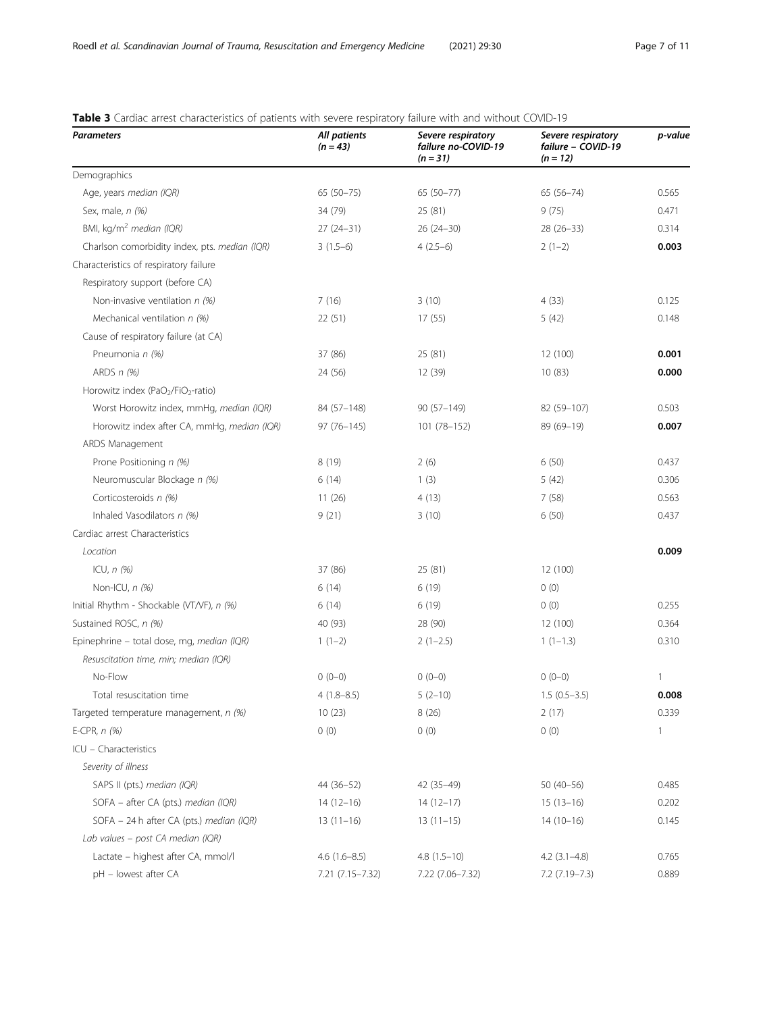| <b>Parameters</b>                                          | All patients<br>$(n = 43)$ | Severe respiratory<br>failure no-COVID-19<br>$(n = 31)$ | Severe respiratory<br>failure - COVID-19<br>$(n = 12)$ | p-value |
|------------------------------------------------------------|----------------------------|---------------------------------------------------------|--------------------------------------------------------|---------|
| Demographics                                               |                            |                                                         |                                                        |         |
| Age, years median (IQR)                                    | $65(50-75)$                | 65 (50-77)                                              | $65(56 - 74)$                                          | 0.565   |
| Sex, male, n (%)                                           | 34 (79)                    | 25 (81)                                                 | 9(75)                                                  | 0.471   |
| BMI, kg/m <sup>2</sup> median (IQR)                        | $27(24-31)$                | $26(24-30)$                                             | $28(26-33)$                                            | 0.314   |
| Charlson comorbidity index, pts. median (IQR)              | $3(1.5-6)$                 | $4(2.5-6)$                                              | $2(1-2)$                                               | 0.003   |
| Characteristics of respiratory failure                     |                            |                                                         |                                                        |         |
| Respiratory support (before CA)                            |                            |                                                         |                                                        |         |
| Non-invasive ventilation $n$ (%)                           | 7(16)                      | 3(10)                                                   | 4(33)                                                  | 0.125   |
| Mechanical ventilation $n$ (%)                             | 22(51)                     | 17(55)                                                  | 5(42)                                                  | 0.148   |
| Cause of respiratory failure (at CA)                       |                            |                                                         |                                                        |         |
| Pneumonia n (%)                                            | 37 (86)                    | 25(81)                                                  | 12 (100)                                               | 0.001   |
| ARDS $n$ (%)                                               | 24 (56)                    | 12 (39)                                                 | 10(83)                                                 | 0.000   |
| Horowitz index (PaO <sub>2</sub> /FiO <sub>2</sub> -ratio) |                            |                                                         |                                                        |         |
| Worst Horowitz index, mmHq, median (IQR)                   | 84 (57-148)                | 90 (57-149)                                             | 82 (59-107)                                            | 0.503   |
| Horowitz index after CA, mmHg, median (IQR)                | $97(76 - 145)$             | 101 (78-152)                                            | 89 (69-19)                                             | 0.007   |
| ARDS Management                                            |                            |                                                         |                                                        |         |
| Prone Positioning n (%)                                    | 8(19)                      | 2(6)                                                    | 6(50)                                                  | 0.437   |
| Neuromuscular Blockage n (%)                               | 6(14)                      | 1(3)                                                    | 5(42)                                                  | 0.306   |
| Corticosteroids n (%)                                      | 11(26)                     | 4(13)                                                   | 7(58)                                                  | 0.563   |
| Inhaled Vasodilators n (%)                                 | 9(21)                      | 3(10)                                                   | 6(50)                                                  | 0.437   |
| Cardiac arrest Characteristics                             |                            |                                                         |                                                        |         |
| Location                                                   |                            |                                                         |                                                        | 0.009   |
| ICU, $n$ $(\%)$                                            | 37 (86)                    | 25(81)                                                  | 12 (100)                                               |         |
| Non-ICU, n (%)                                             | 6(14)                      | 6(19)                                                   | 0(0)                                                   |         |
| Initial Rhythm - Shockable (VT/VF), n (%)                  | 6(14)                      | 6(19)                                                   | 0(0)                                                   | 0.255   |
| Sustained ROSC, n (%)                                      | 40 (93)                    | 28 (90)                                                 | 12 (100)                                               | 0.364   |
| Epinephrine - total dose, mg, median (IQR)                 | $1(1-2)$                   | $2(1-2.5)$                                              | $1(1-1.3)$                                             | 0.310   |
| Resuscitation time, min; median (IQR)                      |                            |                                                         |                                                        |         |
| No-Flow                                                    | $0(0-0)$                   | $0(0-0)$                                                | $0(0-0)$                                               | 1       |
| Total resuscitation time                                   | $4(1.8 - 8.5)$             | $5(2-10)$                                               | $1.5(0.5-3.5)$                                         | 0.008   |
| Targeted temperature management, n (%)                     | 10(23)                     | 8(26)                                                   | 2(17)                                                  | 0.339   |
| E-CPR, $n$ (%)                                             | 0(0)                       | 0(0)                                                    | 0(0)                                                   | 1       |
| ICU - Characteristics                                      |                            |                                                         |                                                        |         |
| Severity of illness                                        |                            |                                                         |                                                        |         |
| SAPS II (pts.) median (IQR)                                | 44 (36-52)                 | 42 (35-49)                                              | $50(40-56)$                                            | 0.485   |
| SOFA - after CA (pts.) median (IQR)                        | $14(12-16)$                | $14(12-17)$                                             | $15(13-16)$                                            | 0.202   |
| SOFA - 24 h after CA (pts.) median (IQR)                   | $13(11-16)$                | $13(11-15)$                                             | $14(10-16)$                                            | 0.145   |
| Lab values - post CA median (IQR)                          |                            |                                                         |                                                        |         |
| Lactate - highest after CA, mmol/l                         | $4.6(1.6 - 8.5)$           | $4.8(1.5-10)$                                           | $4.2$ $(3.1-4.8)$                                      | 0.765   |
| pH - lowest after CA                                       | 7.21 (7.15-7.32)           | 7.22 (7.06-7.32)                                        | $7.2$ (7.19-7.3)                                       | 0.889   |

## <span id="page-6-0"></span>Table 3 Cardiac arrest characteristics of patients with severe respiratory failure with and without COVID-19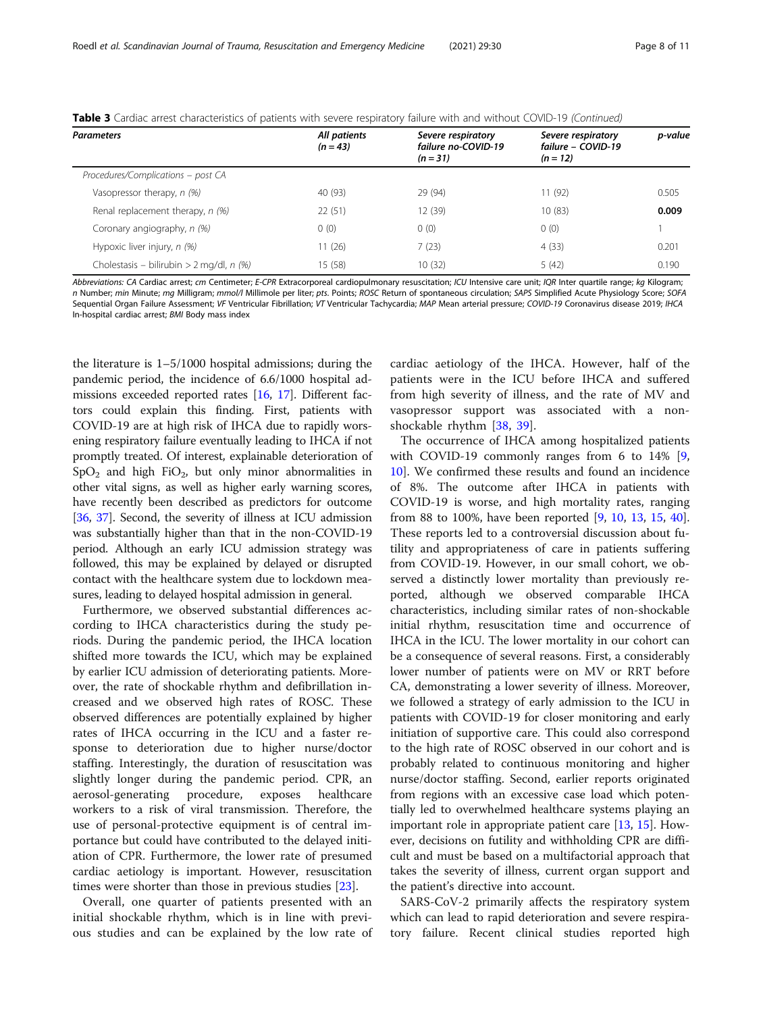| <b>Parameters</b>                           | All patients<br>$(n = 43)$ | Severe respiratory<br>failure no-COVID-19<br>$(n = 31)$ | Severe respiratory<br>failure - COVID-19<br>$(n = 12)$ | p-value |
|---------------------------------------------|----------------------------|---------------------------------------------------------|--------------------------------------------------------|---------|
| Procedures/Complications - post CA          |                            |                                                         |                                                        |         |
| Vasopressor therapy, n (%)                  | 40 (93)                    | 29 (94)                                                 | 11(92)                                                 | 0.505   |
| Renal replacement therapy, n (%)            | 22(51)                     | 12 (39)                                                 | 10(83)                                                 | 0.009   |
| Coronary angiography, n (%)                 | 0(0)                       | 0(0)                                                    | 0(0)                                                   |         |
| Hypoxic liver injury, n (%)                 | 11(26)                     | 7(23)                                                   | 4(33)                                                  | 0.201   |
| Cholestasis – bilirubin > 2 mg/dl, n $(\%)$ | 15 (58)                    | 10(32)                                                  | 5(42)                                                  | 0.190   |

Table 3 Cardiac arrest characteristics of patients with severe respiratory failure with and without COVID-19 (Continued)

Abbreviations: CA Cardiac arrest; cm Centimeter; E-CPR Extracorporeal cardiopulmonary resuscitation; ICU Intensive care unit; IQR Inter quartile range; kg Kilogram; n Number; min Minute; mg Milligram; mmol/l Millimole per liter; pts. Points; ROSC Return of spontaneous circulation; SAPS Simplified Acute Physiology Score; SOFA Sequential Organ Failure Assessment; VF Ventricular Fibrillation; VT Ventricular Tachycardia; MAP Mean arterial pressure; COVID-19 Coronavirus disease 2019; IHCA In-hospital cardiac arrest; BMI Body mass index

the literature is 1–5/1000 hospital admissions; during the pandemic period, the incidence of 6.6/1000 hospital admissions exceeded reported rates [[16](#page-9-0), [17](#page-9-0)]. Different factors could explain this finding. First, patients with COVID-19 are at high risk of IHCA due to rapidly worsening respiratory failure eventually leading to IHCA if not promptly treated. Of interest, explainable deterioration of  $SpO<sub>2</sub>$  and high FiO<sub>2</sub>, but only minor abnormalities in other vital signs, as well as higher early warning scores, have recently been described as predictors for outcome [[36](#page-10-0), [37\]](#page-10-0). Second, the severity of illness at ICU admission was substantially higher than that in the non-COVID-19 period. Although an early ICU admission strategy was followed, this may be explained by delayed or disrupted contact with the healthcare system due to lockdown measures, leading to delayed hospital admission in general.

Furthermore, we observed substantial differences according to IHCA characteristics during the study periods. During the pandemic period, the IHCA location shifted more towards the ICU, which may be explained by earlier ICU admission of deteriorating patients. Moreover, the rate of shockable rhythm and defibrillation increased and we observed high rates of ROSC. These observed differences are potentially explained by higher rates of IHCA occurring in the ICU and a faster response to deterioration due to higher nurse/doctor staffing. Interestingly, the duration of resuscitation was slightly longer during the pandemic period. CPR, an aerosol-generating procedure, exposes healthcare workers to a risk of viral transmission. Therefore, the use of personal-protective equipment is of central importance but could have contributed to the delayed initiation of CPR. Furthermore, the lower rate of presumed cardiac aetiology is important. However, resuscitation times were shorter than those in previous studies [[23\]](#page-10-0).

Overall, one quarter of patients presented with an initial shockable rhythm, which is in line with previous studies and can be explained by the low rate of cardiac aetiology of the IHCA. However, half of the patients were in the ICU before IHCA and suffered from high severity of illness, and the rate of MV and vasopressor support was associated with a nonshockable rhythm [\[38](#page-10-0), [39](#page-10-0)].

The occurrence of IHCA among hospitalized patients with COVID-19 commonly ranges from 6 to 14% [\[9](#page-9-0), [10\]](#page-9-0). We confirmed these results and found an incidence of 8%. The outcome after IHCA in patients with COVID-19 is worse, and high mortality rates, ranging from 88 to 100%, have been reported [[9,](#page-9-0) [10,](#page-9-0) [13](#page-9-0), [15,](#page-9-0) [40](#page-10-0)]. These reports led to a controversial discussion about futility and appropriateness of care in patients suffering from COVID-19. However, in our small cohort, we observed a distinctly lower mortality than previously reported, although we observed comparable IHCA characteristics, including similar rates of non-shockable initial rhythm, resuscitation time and occurrence of IHCA in the ICU. The lower mortality in our cohort can be a consequence of several reasons. First, a considerably lower number of patients were on MV or RRT before CA, demonstrating a lower severity of illness. Moreover, we followed a strategy of early admission to the ICU in patients with COVID-19 for closer monitoring and early initiation of supportive care. This could also correspond to the high rate of ROSC observed in our cohort and is probably related to continuous monitoring and higher nurse/doctor staffing. Second, earlier reports originated from regions with an excessive case load which potentially led to overwhelmed healthcare systems playing an important role in appropriate patient care [\[13](#page-9-0), [15](#page-9-0)]. However, decisions on futility and withholding CPR are difficult and must be based on a multifactorial approach that takes the severity of illness, current organ support and the patient's directive into account.

SARS-CoV-2 primarily affects the respiratory system which can lead to rapid deterioration and severe respiratory failure. Recent clinical studies reported high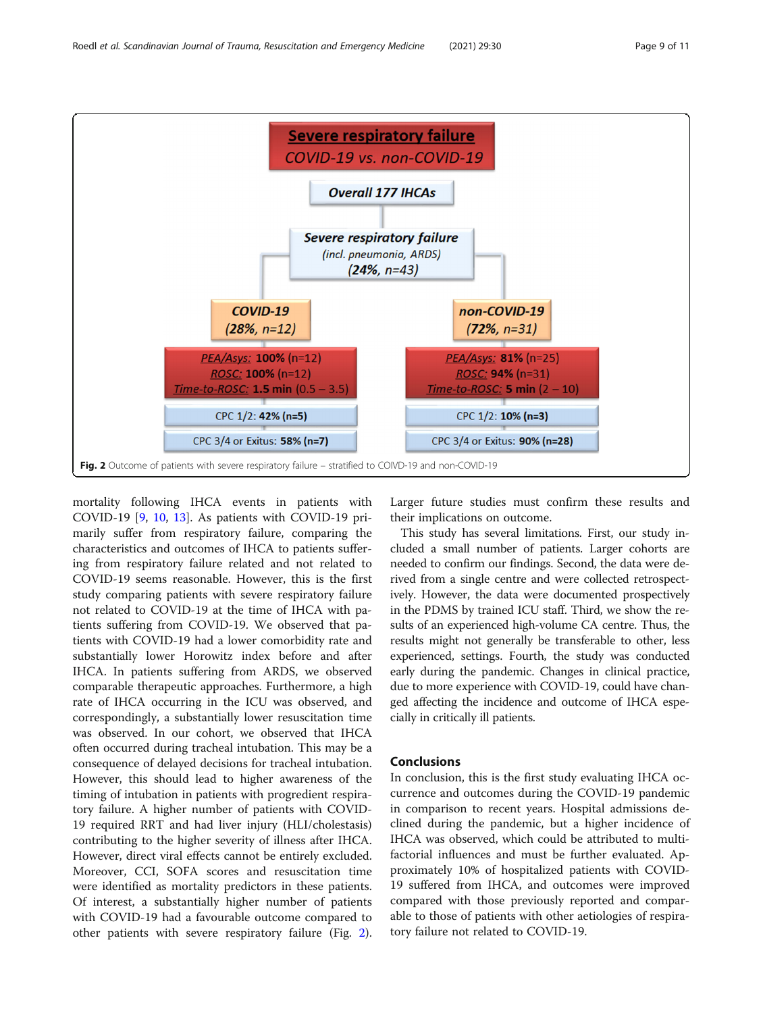

mortality following IHCA events in patients with COVID-19 [[9,](#page-9-0) [10](#page-9-0), [13](#page-9-0)]. As patients with COVID-19 primarily suffer from respiratory failure, comparing the characteristics and outcomes of IHCA to patients suffering from respiratory failure related and not related to COVID-19 seems reasonable. However, this is the first study comparing patients with severe respiratory failure not related to COVID-19 at the time of IHCA with patients suffering from COVID-19. We observed that patients with COVID-19 had a lower comorbidity rate and substantially lower Horowitz index before and after IHCA. In patients suffering from ARDS, we observed comparable therapeutic approaches. Furthermore, a high rate of IHCA occurring in the ICU was observed, and correspondingly, a substantially lower resuscitation time was observed. In our cohort, we observed that IHCA often occurred during tracheal intubation. This may be a consequence of delayed decisions for tracheal intubation. However, this should lead to higher awareness of the timing of intubation in patients with progredient respiratory failure. A higher number of patients with COVID-19 required RRT and had liver injury (HLI/cholestasis) contributing to the higher severity of illness after IHCA. However, direct viral effects cannot be entirely excluded. Moreover, CCI, SOFA scores and resuscitation time were identified as mortality predictors in these patients. Of interest, a substantially higher number of patients with COVID-19 had a favourable outcome compared to other patients with severe respiratory failure (Fig. 2). Larger future studies must confirm these results and their implications on outcome.

This study has several limitations. First, our study included a small number of patients. Larger cohorts are needed to confirm our findings. Second, the data were derived from a single centre and were collected retrospectively. However, the data were documented prospectively in the PDMS by trained ICU staff. Third, we show the results of an experienced high-volume CA centre. Thus, the results might not generally be transferable to other, less experienced, settings. Fourth, the study was conducted early during the pandemic. Changes in clinical practice, due to more experience with COVID-19, could have changed affecting the incidence and outcome of IHCA especially in critically ill patients.

## Conclusions

In conclusion, this is the first study evaluating IHCA occurrence and outcomes during the COVID-19 pandemic in comparison to recent years. Hospital admissions declined during the pandemic, but a higher incidence of IHCA was observed, which could be attributed to multifactorial influences and must be further evaluated. Approximately 10% of hospitalized patients with COVID-19 suffered from IHCA, and outcomes were improved compared with those previously reported and comparable to those of patients with other aetiologies of respiratory failure not related to COVID-19.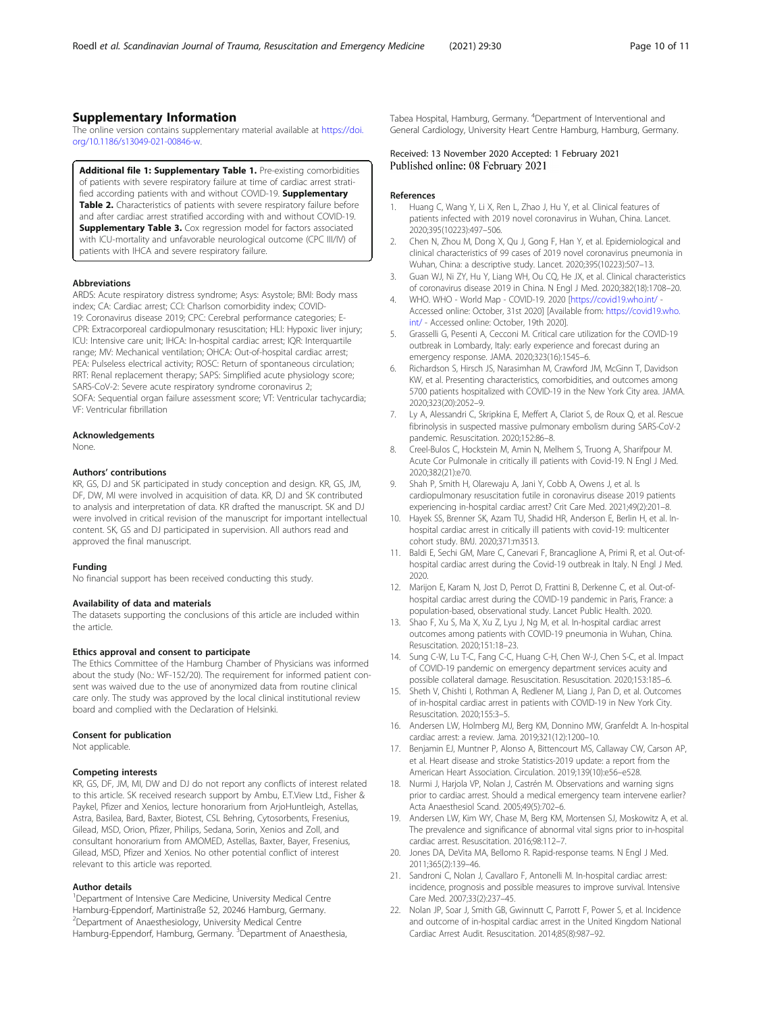## <span id="page-9-0"></span>Supplementary Information

The online version contains supplementary material available at [https://doi.](https://doi.org/10.1186/s13049-021-00846-w) [org/10.1186/s13049-021-00846-w](https://doi.org/10.1186/s13049-021-00846-w).

Additional file 1: Supplementary Table 1. Pre-existing comorbidities of patients with severe respiratory failure at time of cardiac arrest stratified according patients with and without COVID-19. Supplementary Table 2. Characteristics of patients with severe respiratory failure before and after cardiac arrest stratified according with and without COVID-19. **Supplementary Table 3.** Cox regression model for factors associated with ICU-mortality and unfavorable neurological outcome (CPC III/IV) of patients with IHCA and severe respiratory failure.

#### Abbreviations

ARDS: Acute respiratory distress syndrome; Asys: Asystole; BMI: Body mass index; CA: Cardiac arrest; CCI: Charlson comorbidity index; COVID-19: Coronavirus disease 2019; CPC: Cerebral performance categories; E-CPR: Extracorporeal cardiopulmonary resuscitation; HLI: Hypoxic liver injury; ICU: Intensive care unit; IHCA: In-hospital cardiac arrest; IQR: Interquartile range; MV: Mechanical ventilation; OHCA: Out-of-hospital cardiac arrest; PEA: Pulseless electrical activity; ROSC: Return of spontaneous circulation; RRT: Renal replacement therapy; SAPS: Simplified acute physiology score; SARS-CoV-2: Severe acute respiratory syndrome coronavirus 2; SOFA: Sequential organ failure assessment score; VT: Ventricular tachycardia; VF: Ventricular fibrillation

#### Acknowledgements

None.

#### Authors' contributions

KR, GS, DJ and SK participated in study conception and design. KR, GS, JM, DF, DW, MI were involved in acquisition of data. KR, DJ and SK contributed to analysis and interpretation of data. KR drafted the manuscript. SK and DJ were involved in critical revision of the manuscript for important intellectual content. SK, GS and DJ participated in supervision. All authors read and approved the final manuscript.

#### Funding

No financial support has been received conducting this study.

#### Availability of data and materials

The datasets supporting the conclusions of this article are included within the article.

#### Ethics approval and consent to participate

The Ethics Committee of the Hamburg Chamber of Physicians was informed about the study (No.: WF-152/20). The requirement for informed patient consent was waived due to the use of anonymized data from routine clinical care only. The study was approved by the local clinical institutional review board and complied with the Declaration of Helsinki.

#### Consent for publication

Not applicable.

#### Competing interests

KR, GS, DF, JM, MI, DW and DJ do not report any conflicts of interest related to this article. SK received research support by Ambu, E.T.View Ltd., Fisher & Paykel, Pfizer and Xenios, lecture honorarium from ArjoHuntleigh, Astellas, Astra, Basilea, Bard, Baxter, Biotest, CSL Behring, Cytosorbents, Fresenius, Gilead, MSD, Orion, Pfizer, Philips, Sedana, Sorin, Xenios and Zoll, and consultant honorarium from AMOMED, Astellas, Baxter, Bayer, Fresenius, Gilead, MSD, Pfizer and Xenios. No other potential conflict of interest relevant to this article was reported.

#### Author details

<sup>1</sup>Department of Intensive Care Medicine, University Medical Centre Hamburg-Eppendorf, Martinistraße 52, 20246 Hamburg, Germany. 2 Department of Anaesthesiology, University Medical Centre Hamburg-Eppendorf, Hamburg, Germany. <sup>3</sup>Department of Anaesthesia,

Tabea Hospital, Hamburg, Germany. <sup>4</sup>Department of Interventional and General Cardiology, University Heart Centre Hamburg, Hamburg, Germany.

#### Received: 13 November 2020 Accepted: 1 February 2021 Published online: 08 February 2021

#### References

- 1. Huang C, Wang Y, Li X, Ren L, Zhao J, Hu Y, et al. Clinical features of patients infected with 2019 novel coronavirus in Wuhan, China. Lancet. 2020;395(10223):497–506.
- 2. Chen N, Zhou M, Dong X, Qu J, Gong F, Han Y, et al. Epidemiological and clinical characteristics of 99 cases of 2019 novel coronavirus pneumonia in Wuhan, China: a descriptive study. Lancet. 2020;395(10223):507–13.
- Guan WJ, Ni ZY, Hu Y, Liang WH, Ou CQ, He JX, et al. Clinical characteristics of coronavirus disease 2019 in China. N Engl J Med. 2020;382(18):1708–20.
- 4. WHO. WHO World Map COVID-19. 2020 [<https://covid19.who.int/> Accessed online: October, 31st 2020] [Available from: [https://covid19.who.](https://covid19.who.int/) [int/](https://covid19.who.int/) - Accessed online: October, 19th 2020].
- 5. Grasselli G, Pesenti A, Cecconi M. Critical care utilization for the COVID-19 outbreak in Lombardy, Italy: early experience and forecast during an emergency response. JAMA. 2020;323(16):1545–6.
- 6. Richardson S, Hirsch JS, Narasimhan M, Crawford JM, McGinn T, Davidson KW, et al. Presenting characteristics, comorbidities, and outcomes among 5700 patients hospitalized with COVID-19 in the New York City area. JAMA. 2020;323(20):2052–9.
- 7. Ly A, Alessandri C, Skripkina E, Meffert A, Clariot S, de Roux Q, et al. Rescue fibrinolysis in suspected massive pulmonary embolism during SARS-CoV-2 pandemic. Resuscitation. 2020;152:86–8.
- 8. Creel-Bulos C, Hockstein M, Amin N, Melhem S, Truong A, Sharifpour M. Acute Cor Pulmonale in critically ill patients with Covid-19. N Engl J Med. 2020;382(21):e70.
- 9. Shah P, Smith H, Olarewaju A, Jani Y, Cobb A, Owens J, et al. Is cardiopulmonary resuscitation futile in coronavirus disease 2019 patients experiencing in-hospital cardiac arrest? Crit Care Med. 2021;49(2):201–8.
- 10. Hayek SS, Brenner SK, Azam TU, Shadid HR, Anderson E, Berlin H, et al. Inhospital cardiac arrest in critically ill patients with covid-19: multicenter cohort study. BMJ. 2020;371:m3513.
- 11. Baldi E, Sechi GM, Mare C, Canevari F, Brancaglione A, Primi R, et al. Out-ofhospital cardiac arrest during the Covid-19 outbreak in Italy. N Engl J Med. 2020.
- 12. Marijon E, Karam N, Jost D, Perrot D, Frattini B, Derkenne C, et al. Out-ofhospital cardiac arrest during the COVID-19 pandemic in Paris, France: a population-based, observational study. Lancet Public Health. 2020.
- 13. Shao F, Xu S, Ma X, Xu Z, Lyu J, Ng M, et al. In-hospital cardiac arrest outcomes among patients with COVID-19 pneumonia in Wuhan, China. Resuscitation. 2020;151:18–23.
- 14. Sung C-W, Lu T-C, Fang C-C, Huang C-H, Chen W-J, Chen S-C, et al. Impact of COVID-19 pandemic on emergency department services acuity and possible collateral damage. Resuscitation. Resuscitation. 2020;153:185–6.
- 15. Sheth V, Chishti I, Rothman A, Redlener M, Liang J, Pan D, et al. Outcomes of in-hospital cardiac arrest in patients with COVID-19 in New York City. Resuscitation. 2020;155:3–5.
- 16. Andersen LW, Holmberg MJ, Berg KM, Donnino MW, Granfeldt A. In-hospital cardiac arrest: a review. Jama. 2019;321(12):1200–10.
- 17. Benjamin EJ, Muntner P, Alonso A, Bittencourt MS, Callaway CW, Carson AP, et al. Heart disease and stroke Statistics-2019 update: a report from the American Heart Association. Circulation. 2019;139(10):e56–e528.
- 18. Nurmi J, Harjola VP, Nolan J, Castrén M. Observations and warning signs prior to cardiac arrest. Should a medical emergency team intervene earlier? Acta Anaesthesiol Scand. 2005;49(5):702–6.
- 19. Andersen LW, Kim WY, Chase M, Berg KM, Mortensen SJ, Moskowitz A, et al. The prevalence and significance of abnormal vital signs prior to in-hospital cardiac arrest. Resuscitation. 2016;98:112–7.
- 20. Jones DA, DeVita MA, Bellomo R. Rapid-response teams. N Engl J Med. 2011;365(2):139–46.
- 21. Sandroni C, Nolan J, Cavallaro F, Antonelli M. In-hospital cardiac arrest: incidence, prognosis and possible measures to improve survival. Intensive Care Med. 2007;33(2):237–45.
- 22. Nolan JP, Soar J, Smith GB, Gwinnutt C, Parrott F, Power S, et al. Incidence and outcome of in-hospital cardiac arrest in the United Kingdom National Cardiac Arrest Audit. Resuscitation. 2014;85(8):987–92.